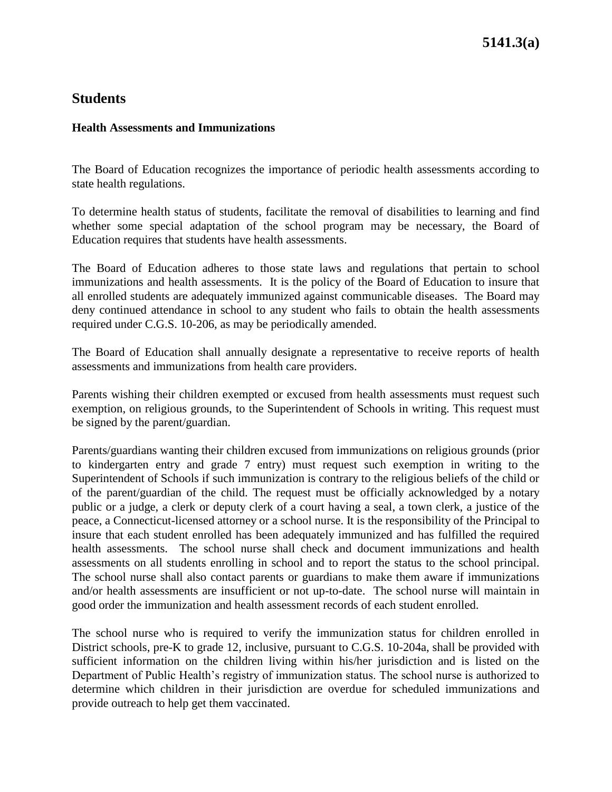#### **Health Assessments and Immunizations**

The Board of Education recognizes the importance of periodic health assessments according to state health regulations.

To determine health status of students, facilitate the removal of disabilities to learning and find whether some special adaptation of the school program may be necessary, the Board of Education requires that students have health assessments.

The Board of Education adheres to those state laws and regulations that pertain to school immunizations and health assessments. It is the policy of the Board of Education to insure that all enrolled students are adequately immunized against communicable diseases. The Board may deny continued attendance in school to any student who fails to obtain the health assessments required under C.G.S. 10-206, as may be periodically amended.

The Board of Education shall annually designate a representative to receive reports of health assessments and immunizations from health care providers.

Parents wishing their children exempted or excused from health assessments must request such exemption, on religious grounds, to the Superintendent of Schools in writing. This request must be signed by the parent/guardian.

Parents/guardians wanting their children excused from immunizations on religious grounds (prior to kindergarten entry and grade 7 entry) must request such exemption in writing to the Superintendent of Schools if such immunization is contrary to the religious beliefs of the child or of the parent/guardian of the child. The request must be officially acknowledged by a notary public or a judge, a clerk or deputy clerk of a court having a seal, a town clerk, a justice of the peace, a Connecticut-licensed attorney or a school nurse. It is the responsibility of the Principal to insure that each student enrolled has been adequately immunized and has fulfilled the required health assessments. The school nurse shall check and document immunizations and health assessments on all students enrolling in school and to report the status to the school principal. The school nurse shall also contact parents or guardians to make them aware if immunizations and/or health assessments are insufficient or not up-to-date. The school nurse will maintain in good order the immunization and health assessment records of each student enrolled.

The school nurse who is required to verify the immunization status for children enrolled in District schools, pre-K to grade 12, inclusive, pursuant to C.G.S. 10-204a, shall be provided with sufficient information on the children living within his/her jurisdiction and is listed on the Department of Public Health's registry of immunization status. The school nurse is authorized to determine which children in their jurisdiction are overdue for scheduled immunizations and provide outreach to help get them vaccinated.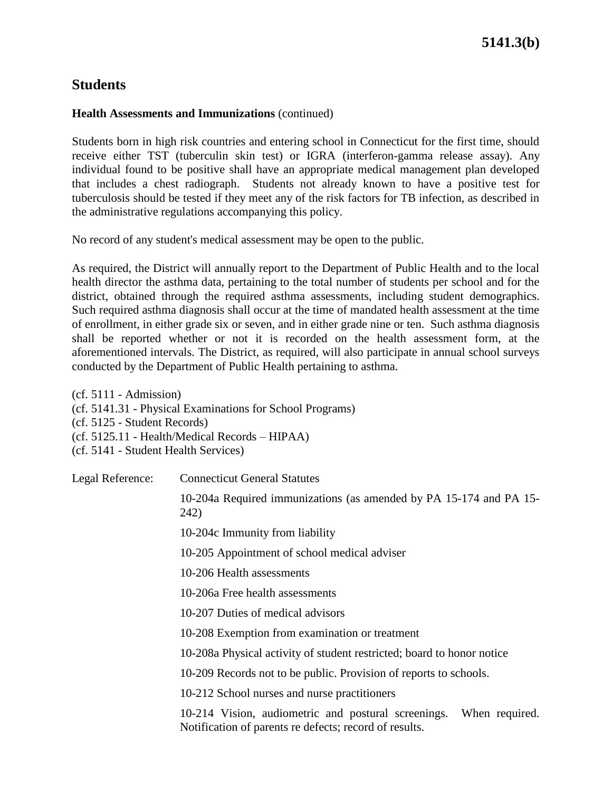### **Health Assessments and Immunizations** (continued)

Students born in high risk countries and entering school in Connecticut for the first time, should receive either TST (tuberculin skin test) or IGRA (interferon-gamma release assay). Any individual found to be positive shall have an appropriate medical management plan developed that includes a chest radiograph. Students not already known to have a positive test for tuberculosis should be tested if they meet any of the risk factors for TB infection, as described in the administrative regulations accompanying this policy.

No record of any student's medical assessment may be open to the public.

As required, the District will annually report to the Department of Public Health and to the local health director the asthma data, pertaining to the total number of students per school and for the district, obtained through the required asthma assessments, including student demographics. Such required asthma diagnosis shall occur at the time of mandated health assessment at the time of enrollment, in either grade six or seven, and in either grade nine or ten. Such asthma diagnosis shall be reported whether or not it is recorded on the health assessment form, at the aforementioned intervals. The District, as required, will also participate in annual school surveys conducted by the Department of Public Health pertaining to asthma.

(cf. 5111 - Admission) (cf. 5141.31 - Physical Examinations for School Programs) (cf. 5125 - Student Records) (cf. 5125.11 - Health/Medical Records – HIPAA) (cf. 5141 - Student Health Services)

Legal Reference: Connecticut General Statutes

10-204a Required immunizations (as amended by PA 15-174 and PA 15- 242)

10-204c Immunity from liability

10-205 Appointment of school medical adviser

10-206 Health assessments

10-206a Free health assessments

10-207 Duties of medical advisors

10-208 Exemption from examination or treatment

10-208a Physical activity of student restricted; board to honor notice

10-209 Records not to be public. Provision of reports to schools.

10-212 School nurses and nurse practitioners

10-214 Vision, audiometric and postural screenings. When required. Notification of parents re defects; record of results.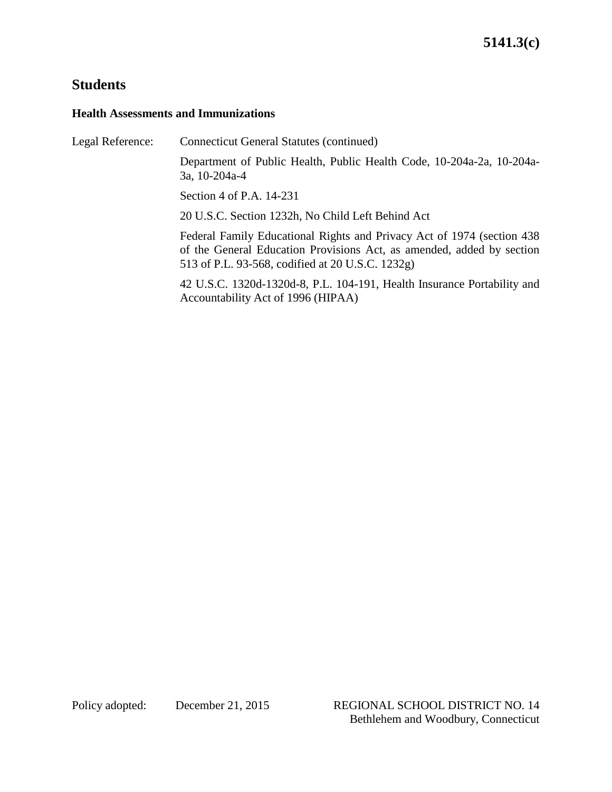#### **Health Assessments and Immunizations**

Legal Reference: Connecticut General Statutes (continued) Department of Public Health, Public Health Code, 10-204a-2a, 10-204a-3a, 10-204a-4 Section 4 of P.A. 14-231 20 U.S.C. Section 1232h, No Child Left Behind Act Federal Family Educational Rights and Privacy Act of 1974 (section 438 of the General Education Provisions Act, as amended, added by section 513 of P.L. 93-568, codified at 20 U.S.C. 1232g) 42 U.S.C. 1320d-1320d-8, P.L. 104-191, Health Insurance Portability and

Accountability Act of 1996 (HIPAA)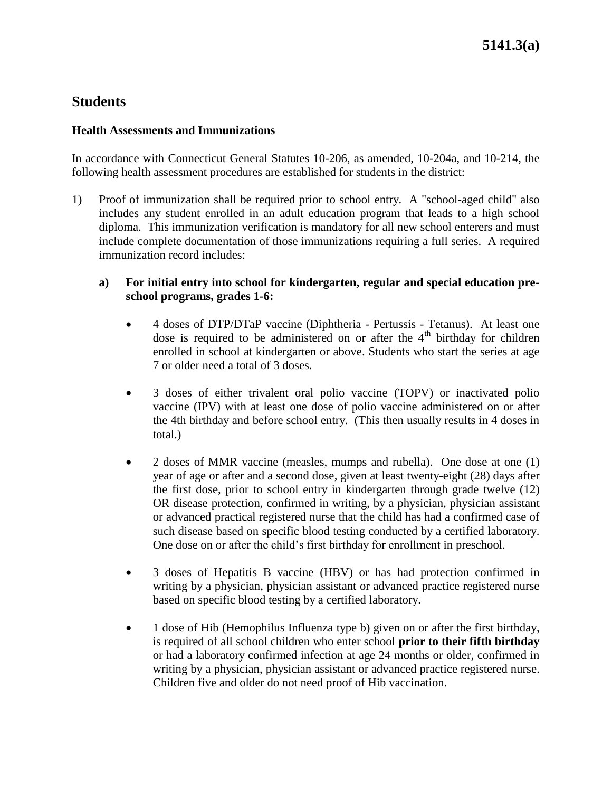#### **Health Assessments and Immunizations**

In accordance with Connecticut General Statutes 10-206, as amended, 10-204a, and 10-214, the following health assessment procedures are established for students in the district:

- 1) Proof of immunization shall be required prior to school entry. A "school-aged child" also includes any student enrolled in an adult education program that leads to a high school diploma. This immunization verification is mandatory for all new school enterers and must include complete documentation of those immunizations requiring a full series. A required immunization record includes:
	- **a) For initial entry into school for kindergarten, regular and special education preschool programs, grades 1-6:**
		- 4 doses of DTP/DTaP vaccine (Diphtheria Pertussis Tetanus). At least one dose is required to be administered on or after the  $4<sup>th</sup>$  birthday for children enrolled in school at kindergarten or above. Students who start the series at age 7 or older need a total of 3 doses.
		- 3 doses of either trivalent oral polio vaccine (TOPV) or inactivated polio vaccine (IPV) with at least one dose of polio vaccine administered on or after the 4th birthday and before school entry. (This then usually results in 4 doses in total.)
		- 2 doses of MMR vaccine (measles, mumps and rubella). One dose at one (1) year of age or after and a second dose, given at least twenty-eight (28) days after the first dose, prior to school entry in kindergarten through grade twelve (12) OR disease protection, confirmed in writing, by a physician, physician assistant or advanced practical registered nurse that the child has had a confirmed case of such disease based on specific blood testing conducted by a certified laboratory. One dose on or after the child's first birthday for enrollment in preschool.
		- 3 doses of Hepatitis B vaccine (HBV) or has had protection confirmed in writing by a physician, physician assistant or advanced practice registered nurse based on specific blood testing by a certified laboratory.
		- 1 dose of Hib (Hemophilus Influenza type b) given on or after the first birthday, is required of all school children who enter school **prior to their fifth birthday** or had a laboratory confirmed infection at age 24 months or older, confirmed in writing by a physician, physician assistant or advanced practice registered nurse. Children five and older do not need proof of Hib vaccination.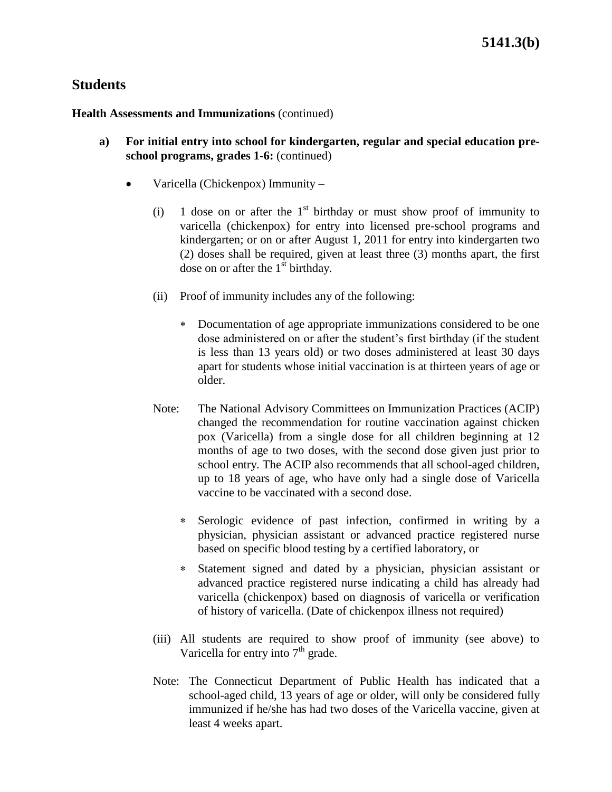**Health Assessments and Immunizations** (continued)

- **a) For initial entry into school for kindergarten, regular and special education preschool programs, grades 1-6:** (continued)
	- Varicella (Chickenpox) Immunity
		- (i) 1 dose on or after the  $1<sup>st</sup>$  birthday or must show proof of immunity to varicella (chickenpox) for entry into licensed pre-school programs and kindergarten; or on or after August 1, 2011 for entry into kindergarten two (2) doses shall be required, given at least three (3) months apart, the first dose on or after the  $1<sup>st</sup>$  birthday.
		- (ii) Proof of immunity includes any of the following:
			- Documentation of age appropriate immunizations considered to be one dose administered on or after the student's first birthday (if the student is less than 13 years old) or two doses administered at least 30 days apart for students whose initial vaccination is at thirteen years of age or older.
		- Note: The National Advisory Committees on Immunization Practices (ACIP) changed the recommendation for routine vaccination against chicken pox (Varicella) from a single dose for all children beginning at 12 months of age to two doses, with the second dose given just prior to school entry. The ACIP also recommends that all school-aged children, up to 18 years of age, who have only had a single dose of Varicella vaccine to be vaccinated with a second dose.
			- Serologic evidence of past infection, confirmed in writing by a physician, physician assistant or advanced practice registered nurse based on specific blood testing by a certified laboratory, or
			- Statement signed and dated by a physician, physician assistant or advanced practice registered nurse indicating a child has already had varicella (chickenpox) based on diagnosis of varicella or verification of history of varicella. (Date of chickenpox illness not required)
		- (iii) All students are required to show proof of immunity (see above) to Varicella for entry into  $7<sup>th</sup>$  grade.
		- Note: The Connecticut Department of Public Health has indicated that a school-aged child, 13 years of age or older, will only be considered fully immunized if he/she has had two doses of the Varicella vaccine, given at least 4 weeks apart.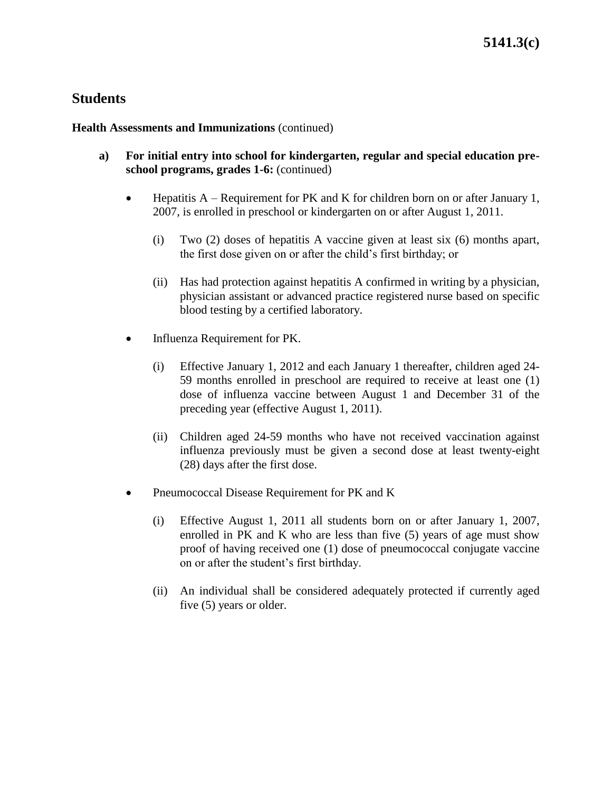**Health Assessments and Immunizations** (continued)

- **a) For initial entry into school for kindergarten, regular and special education preschool programs, grades 1-6:** (continued)
	- Hepatitis A Requirement for PK and K for children born on or after January 1, 2007, is enrolled in preschool or kindergarten on or after August 1, 2011.
		- (i) Two (2) doses of hepatitis A vaccine given at least six (6) months apart, the first dose given on or after the child's first birthday; or
		- (ii) Has had protection against hepatitis A confirmed in writing by a physician, physician assistant or advanced practice registered nurse based on specific blood testing by a certified laboratory.
	- Influenza Requirement for PK.
		- (i) Effective January 1, 2012 and each January 1 thereafter, children aged 24- 59 months enrolled in preschool are required to receive at least one (1) dose of influenza vaccine between August 1 and December 31 of the preceding year (effective August 1, 2011).
		- (ii) Children aged 24-59 months who have not received vaccination against influenza previously must be given a second dose at least twenty-eight (28) days after the first dose.
	- Pneumococcal Disease Requirement for PK and K
		- (i) Effective August 1, 2011 all students born on or after January 1, 2007, enrolled in PK and K who are less than five (5) years of age must show proof of having received one (1) dose of pneumococcal conjugate vaccine on or after the student's first birthday.
		- (ii) An individual shall be considered adequately protected if currently aged five (5) years or older.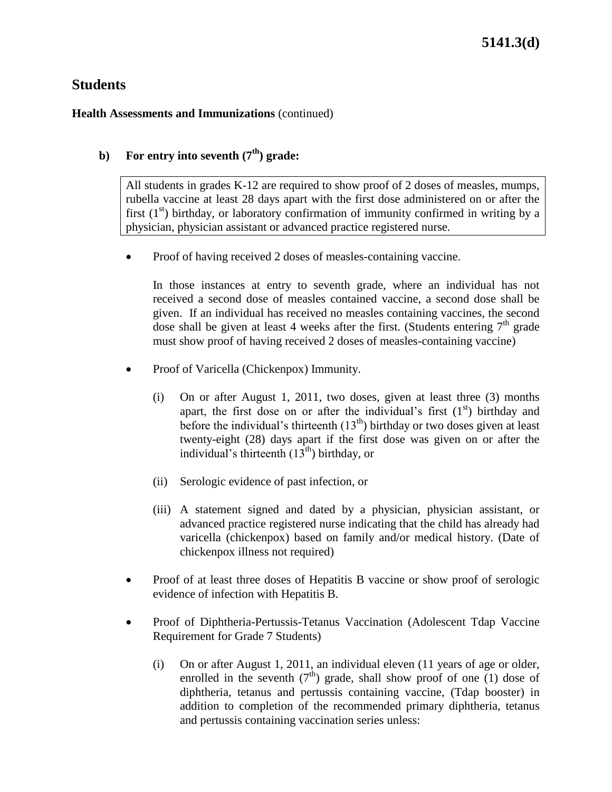### **Health Assessments and Immunizations** (continued)

### **b**) **For entry into seventh** ( $7<sup>th</sup>$ ) grade:

All students in grades K-12 are required to show proof of 2 doses of measles, mumps, rubella vaccine at least 28 days apart with the first dose administered on or after the first  $(1<sup>st</sup>)$  birthday, or laboratory confirmation of immunity confirmed in writing by a physician, physician assistant or advanced practice registered nurse.

Proof of having received 2 doses of measles-containing vaccine.

In those instances at entry to seventh grade, where an individual has not received a second dose of measles contained vaccine, a second dose shall be given. If an individual has received no measles containing vaccines, the second dose shall be given at least 4 weeks after the first. (Students entering  $7<sup>th</sup>$  grade must show proof of having received 2 doses of measles-containing vaccine)

- Proof of Varicella (Chickenpox) Immunity.
	- (i) On or after August 1, 2011, two doses, given at least three (3) months apart, the first dose on or after the individual's first  $(1<sup>st</sup>)$  birthday and before the individual's thirteenth  $(13<sup>th</sup>)$  birthday or two doses given at least twenty-eight (28) days apart if the first dose was given on or after the individual's thirteenth  $(13<sup>th</sup>)$  birthday, or
	- (ii) Serologic evidence of past infection, or
	- (iii) A statement signed and dated by a physician, physician assistant, or advanced practice registered nurse indicating that the child has already had varicella (chickenpox) based on family and/or medical history. (Date of chickenpox illness not required)
- Proof of at least three doses of Hepatitis B vaccine or show proof of serologic evidence of infection with Hepatitis B.
- Proof of Diphtheria-Pertussis-Tetanus Vaccination (Adolescent Tdap Vaccine Requirement for Grade 7 Students)
	- (i) On or after August 1, 2011, an individual eleven (11 years of age or older, enrolled in the seventh  $(7<sup>th</sup>)$  grade, shall show proof of one (1) dose of diphtheria, tetanus and pertussis containing vaccine, (Tdap booster) in addition to completion of the recommended primary diphtheria, tetanus and pertussis containing vaccination series unless: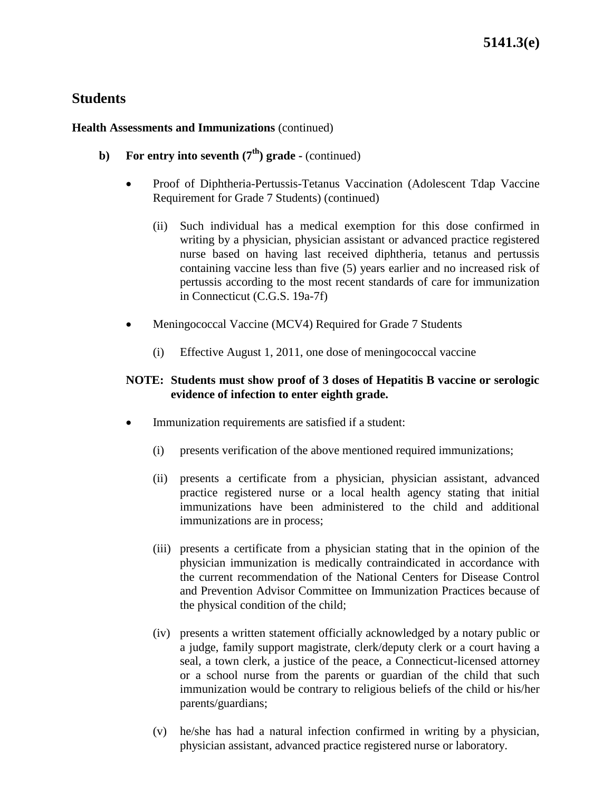### **Health Assessments and Immunizations** (continued)

- **b**) **For entry into seventh**  $(7<sup>th</sup>)$  **grade -** (continued)
	- Proof of Diphtheria-Pertussis-Tetanus Vaccination (Adolescent Tdap Vaccine Requirement for Grade 7 Students) (continued)
		- (ii) Such individual has a medical exemption for this dose confirmed in writing by a physician, physician assistant or advanced practice registered nurse based on having last received diphtheria, tetanus and pertussis containing vaccine less than five (5) years earlier and no increased risk of pertussis according to the most recent standards of care for immunization in Connecticut (C.G.S. 19a-7f)
	- Meningococcal Vaccine (MCV4) Required for Grade 7 Students
		- (i) Effective August 1, 2011, one dose of meningococcal vaccine

### **NOTE: Students must show proof of 3 doses of Hepatitis B vaccine or serologic evidence of infection to enter eighth grade.**

- Immunization requirements are satisfied if a student:
	- (i) presents verification of the above mentioned required immunizations;
	- (ii) presents a certificate from a physician, physician assistant, advanced practice registered nurse or a local health agency stating that initial immunizations have been administered to the child and additional immunizations are in process;
	- (iii) presents a certificate from a physician stating that in the opinion of the physician immunization is medically contraindicated in accordance with the current recommendation of the National Centers for Disease Control and Prevention Advisor Committee on Immunization Practices because of the physical condition of the child;
	- (iv) presents a written statement officially acknowledged by a notary public or a judge, family support magistrate, clerk/deputy clerk or a court having a seal, a town clerk, a justice of the peace, a Connecticut-licensed attorney or a school nurse from the parents or guardian of the child that such immunization would be contrary to religious beliefs of the child or his/her parents/guardians;
	- (v) he/she has had a natural infection confirmed in writing by a physician, physician assistant, advanced practice registered nurse or laboratory.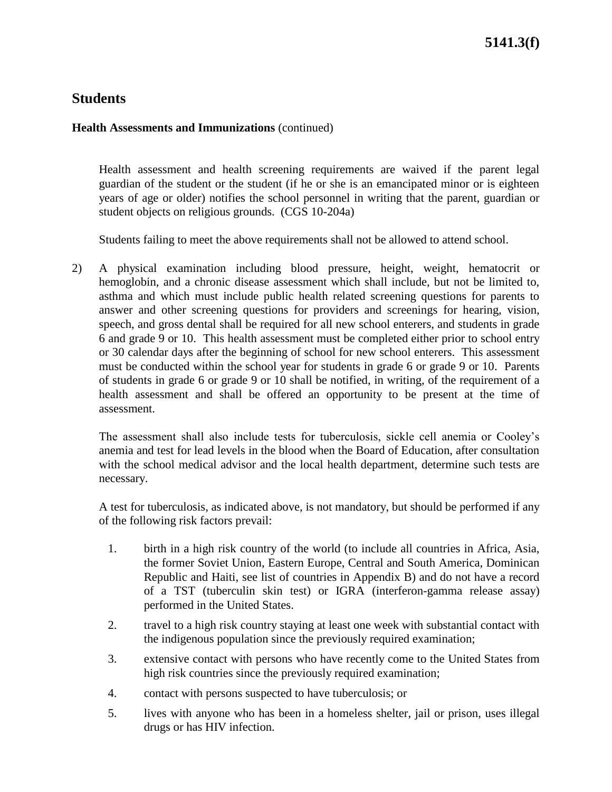### **Health Assessments and Immunizations** (continued)

Health assessment and health screening requirements are waived if the parent legal guardian of the student or the student (if he or she is an emancipated minor or is eighteen years of age or older) notifies the school personnel in writing that the parent, guardian or student objects on religious grounds. (CGS 10-204a)

Students failing to meet the above requirements shall not be allowed to attend school.

2) A physical examination including blood pressure, height, weight, hematocrit or hemoglobin, and a chronic disease assessment which shall include, but not be limited to, asthma and which must include public health related screening questions for parents to answer and other screening questions for providers and screenings for hearing, vision, speech, and gross dental shall be required for all new school enterers, and students in grade 6 and grade 9 or 10. This health assessment must be completed either prior to school entry or 30 calendar days after the beginning of school for new school enterers. This assessment must be conducted within the school year for students in grade 6 or grade 9 or 10. Parents of students in grade 6 or grade 9 or 10 shall be notified, in writing, of the requirement of a health assessment and shall be offered an opportunity to be present at the time of assessment.

The assessment shall also include tests for tuberculosis, sickle cell anemia or Cooley's anemia and test for lead levels in the blood when the Board of Education, after consultation with the school medical advisor and the local health department, determine such tests are necessary.

A test for tuberculosis, as indicated above, is not mandatory, but should be performed if any of the following risk factors prevail:

- 1. birth in a high risk country of the world (to include all countries in Africa, Asia, the former Soviet Union, Eastern Europe, Central and South America, Dominican Republic and Haiti, see list of countries in Appendix B) and do not have a record of a TST (tuberculin skin test) or IGRA (interferon-gamma release assay) performed in the United States.
- 2. travel to a high risk country staying at least one week with substantial contact with the indigenous population since the previously required examination;
- 3. extensive contact with persons who have recently come to the United States from high risk countries since the previously required examination;
- 4. contact with persons suspected to have tuberculosis; or
- 5. lives with anyone who has been in a homeless shelter, jail or prison, uses illegal drugs or has HIV infection.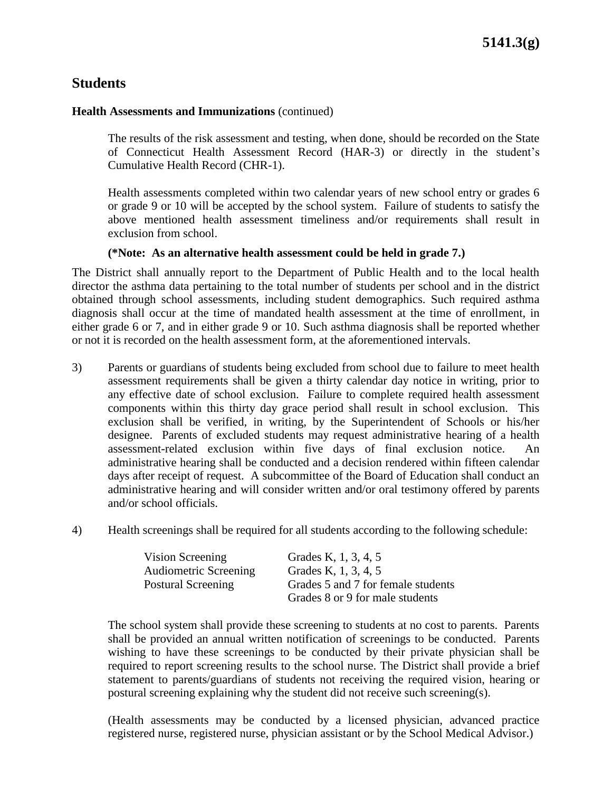#### **Health Assessments and Immunizations** (continued)

The results of the risk assessment and testing, when done, should be recorded on the State of Connecticut Health Assessment Record (HAR-3) or directly in the student's Cumulative Health Record (CHR-1).

Health assessments completed within two calendar years of new school entry or grades 6 or grade 9 or 10 will be accepted by the school system. Failure of students to satisfy the above mentioned health assessment timeliness and/or requirements shall result in exclusion from school.

#### **(\*Note: As an alternative health assessment could be held in grade 7.)**

The District shall annually report to the Department of Public Health and to the local health director the asthma data pertaining to the total number of students per school and in the district obtained through school assessments, including student demographics. Such required asthma diagnosis shall occur at the time of mandated health assessment at the time of enrollment, in either grade 6 or 7, and in either grade 9 or 10. Such asthma diagnosis shall be reported whether or not it is recorded on the health assessment form, at the aforementioned intervals.

- 3) Parents or guardians of students being excluded from school due to failure to meet health assessment requirements shall be given a thirty calendar day notice in writing, prior to any effective date of school exclusion. Failure to complete required health assessment components within this thirty day grace period shall result in school exclusion. This exclusion shall be verified, in writing, by the Superintendent of Schools or his/her designee. Parents of excluded students may request administrative hearing of a health assessment-related exclusion within five days of final exclusion notice. An administrative hearing shall be conducted and a decision rendered within fifteen calendar days after receipt of request. A subcommittee of the Board of Education shall conduct an administrative hearing and will consider written and/or oral testimony offered by parents and/or school officials.
- 4) Health screenings shall be required for all students according to the following schedule:

| Vision Screening             | Grades K, 1, 3, 4, 5               |
|------------------------------|------------------------------------|
| <b>Audiometric Screening</b> | Grades K, 1, 3, 4, 5               |
| <b>Postural Screening</b>    | Grades 5 and 7 for female students |
|                              | Grades 8 or 9 for male students    |

The school system shall provide these screening to students at no cost to parents. Parents shall be provided an annual written notification of screenings to be conducted. Parents wishing to have these screenings to be conducted by their private physician shall be required to report screening results to the school nurse. The District shall provide a brief statement to parents/guardians of students not receiving the required vision, hearing or postural screening explaining why the student did not receive such screening(s).

(Health assessments may be conducted by a licensed physician, advanced practice registered nurse, registered nurse, physician assistant or by the School Medical Advisor.)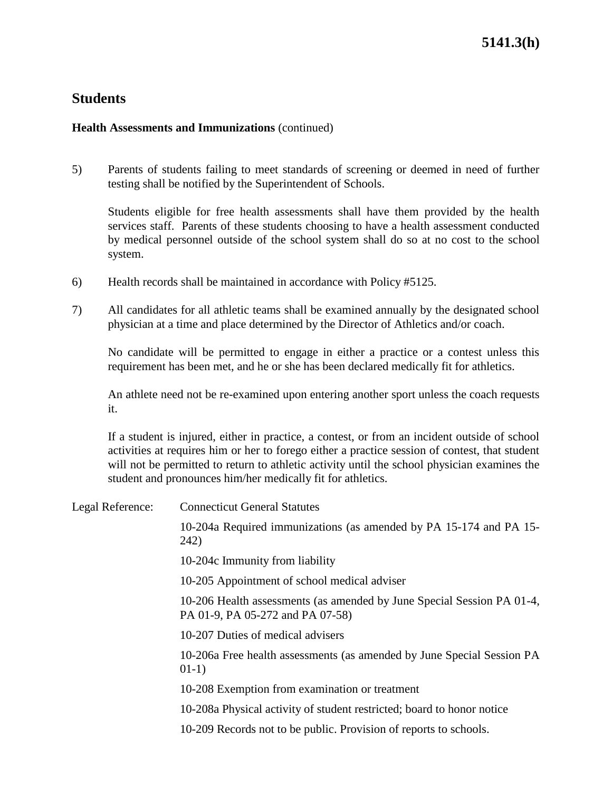### **Health Assessments and Immunizations** (continued)

5) Parents of students failing to meet standards of screening or deemed in need of further testing shall be notified by the Superintendent of Schools.

Students eligible for free health assessments shall have them provided by the health services staff. Parents of these students choosing to have a health assessment conducted by medical personnel outside of the school system shall do so at no cost to the school system.

- 6) Health records shall be maintained in accordance with Policy #5125.
- 7) All candidates for all athletic teams shall be examined annually by the designated school physician at a time and place determined by the Director of Athletics and/or coach.

No candidate will be permitted to engage in either a practice or a contest unless this requirement has been met, and he or she has been declared medically fit for athletics.

An athlete need not be re-examined upon entering another sport unless the coach requests it.

If a student is injured, either in practice, a contest, or from an incident outside of school activities at requires him or her to forego either a practice session of contest, that student will not be permitted to return to athletic activity until the school physician examines the student and pronounces him/her medically fit for athletics.

Legal Reference: Connecticut General Statutes 10-204a Required immunizations (as amended by PA 15-174 and PA 15- 242) 10-204c Immunity from liability 10-205 Appointment of school medical adviser 10-206 Health assessments (as amended by June Special Session PA 01-4, PA 01-9, PA 05-272 and PA 07-58) 10-207 Duties of medical advisers 10-206a Free health assessments (as amended by June Special Session PA 01-1) 10-208 Exemption from examination or treatment 10-208a Physical activity of student restricted; board to honor notice 10-209 Records not to be public. Provision of reports to schools.